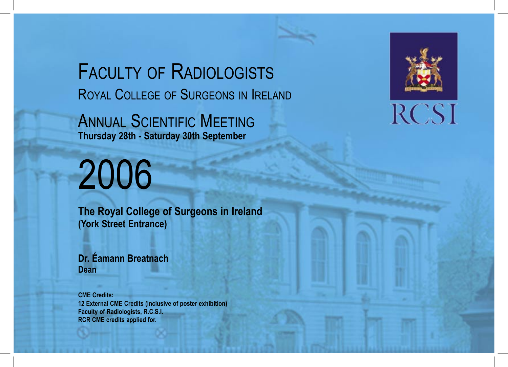FACULTY OF RADIOLOGISTS ROYAL COLLEGE OF SURGEONS IN IRELAND

ANNUAL SCIENTIFIC MEETING **Thursday 28th - Saturday 30th September**

# 2006

**The Royal College of Surgeons in Ireland (York Street Entrance)**

**Dr. Éamann Breatnach Dean**

**CME Credits: 12 External CME Credits (inclusive of poster exhibition) Faculty of Radiologists, R.C.S.I. RCR CME credits applied for.**



# **RCSI**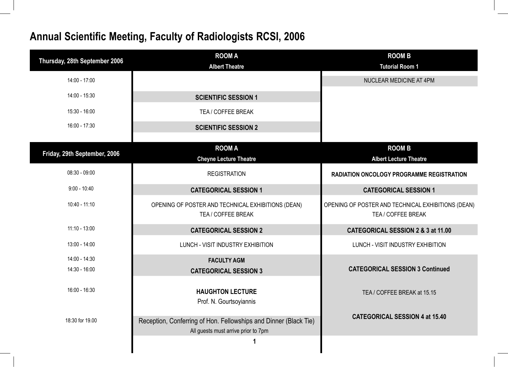| Thursday, 28th September 2006  | <b>ROOM A</b><br><b>Albert Theatre</b>                                                                  | <b>ROOM B</b><br><b>Tutorial Room 1</b>                                  |
|--------------------------------|---------------------------------------------------------------------------------------------------------|--------------------------------------------------------------------------|
| 14:00 - 17:00                  |                                                                                                         | NUCLEAR MEDICINE AT 4PM                                                  |
| 14:00 - 15:30                  | <b>SCIENTIFIC SESSION 1</b>                                                                             |                                                                          |
| 15:30 - 16:00                  | TEA / COFFEE BREAK                                                                                      |                                                                          |
| 16:00 - 17:30                  | <b>SCIENTIFIC SESSION 2</b>                                                                             |                                                                          |
| Friday, 29th September, 2006   | <b>ROOM A</b><br><b>Cheyne Lecture Theatre</b>                                                          | <b>ROOM B</b><br><b>Albert Lecture Theatre</b>                           |
| $08:30 - 09:00$                | <b>REGISTRATION</b>                                                                                     | RADIATION ONCOLOGY PROGRAMME REGISTRATION                                |
| $9:00 - 10:40$                 | <b>CATEGORICAL SESSION 1</b>                                                                            | <b>CATEGORICAL SESSION 1</b>                                             |
| 10:40 - 11:10                  | OPENING OF POSTER AND TECHNICAL EXHIBITIONS (DEAN)<br>TEA / COFFEE BREAK                                | OPENING OF POSTER AND TECHNICAL EXHIBITIONS (DEAN)<br>TEA / COFFEE BREAK |
| $11:10 - 13:00$                | <b>CATEGORICAL SESSION 2</b>                                                                            | CATEGORICAL SESSION 2 & 3 at 11.00                                       |
| 13:00 - 14:00                  | LUNCH - VISIT INDUSTRY EXHIBITION                                                                       | LUNCH - VISIT INDUSTRY EXHIBITION                                        |
| 14:00 - 14:30<br>14:30 - 16:00 | <b>FACULTY AGM</b><br><b>CATEGORICAL SESSION 3</b>                                                      | <b>CATEGORICAL SESSION 3 Continued</b>                                   |
| 16:00 - 16:30                  | <b>HAUGHTON LECTURE</b><br>Prof. N. Gourtsoyiannis                                                      | TEA / COFFEE BREAK at 15.15                                              |
| 18:30 for 19.00                | Reception, Conferring of Hon. Fellowships and Dinner (Black Tie)<br>All guests must arrive prior to 7pm | <b>CATEGORICAL SESSION 4 at 15.40</b>                                    |
|                                |                                                                                                         |                                                                          |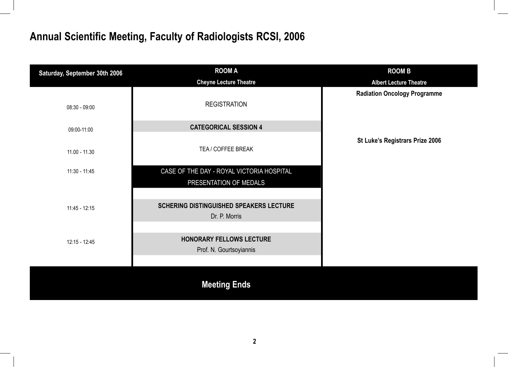| Saturday, September 30th 2006 | <b>ROOM A</b>                                              | <b>ROOM B</b>                       |
|-------------------------------|------------------------------------------------------------|-------------------------------------|
|                               | <b>Cheyne Lecture Theatre</b>                              | <b>Albert Lecture Theatre</b>       |
| 08:30 - 09:00                 | <b>REGISTRATION</b>                                        | <b>Radiation Oncology Programme</b> |
| 09:00-11:00                   | <b>CATEGORICAL SESSION 4</b>                               |                                     |
| $11.00 - 11.30$               | TEA / COFFEE BREAK                                         | St Luke's Registrars Prize 2006     |
| $11:30 - 11:45$               | CASE OF THE DAY - ROYAL VICTORIA HOSPITAL                  |                                     |
|                               | PRESENTATION OF MEDALS                                     |                                     |
|                               |                                                            |                                     |
| $11:45 - 12:15$               | <b>SCHERING DISTINGUISHED SPEAKERS LECTURE</b>             |                                     |
|                               | Dr. P. Morris                                              |                                     |
| 12:15 - 12:45                 | <b>HONORARY FELLOWS LECTURE</b><br>Prof. N. Gourtsoyiannis |                                     |
|                               |                                                            |                                     |
|                               | <b>Meeting Ends</b>                                        |                                     |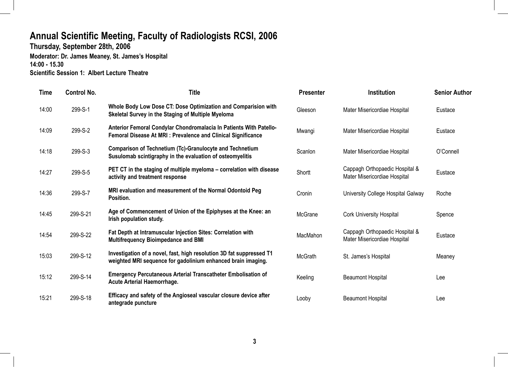**Thursday, September 28th, 2006** 

**Moderator: Dr. James Meaney, St. James's Hospital 14:00 - 15.30 Scientific Session 1: Albert Lecture Theatre**

| <b>Time</b> | Control No. | <b>Title</b>                                                                                                                              | <b>Presenter</b> | <b>Institution</b>                                             | <b>Senior Author</b> |
|-------------|-------------|-------------------------------------------------------------------------------------------------------------------------------------------|------------------|----------------------------------------------------------------|----------------------|
| 14:00       | 299-S-1     | Whole Body Low Dose CT: Dose Optimization and Comparision with<br>Skeletal Survey in the Staging of Multiple Myeloma                      | Gleeson          | Mater Misericordiae Hospital                                   | Eustace              |
| 14:09       | 299-S-2     | Anterior Femoral Condylar Chondromalacia In Patients With Patello-<br><b>Femoral Disease At MRI: Prevalence and Clinical Significance</b> | Mwangi           | Mater Misericordiae Hospital                                   | Eustace              |
| 14:18       | 299-S-3     | <b>Comparison of Technetium (Tc)-Granulocyte and Technetium</b><br>Susulomab scintigraphy in the evaluation of osteomyelitis              | Scanlon          | Mater Misericordiae Hospital                                   | O'Connell            |
| 14:27       | 299-S-5     | PET CT in the staging of multiple myeloma – correlation with disease<br>activity and treatment response                                   | Shortt           | Cappagh Orthopaedic Hospital &<br>Mater Misericordiae Hospital | Eustace              |
| 14:36       | 299-S-7     | MRI evaluation and measurement of the Normal Odontoid Peg<br>Position.                                                                    | Cronin           | University College Hospital Galway                             | Roche                |
| 14:45       | 299-S-21    | Age of Commencement of Union of the Epiphyses at the Knee: an<br>Irish population study.                                                  | McGrane          | <b>Cork University Hospital</b>                                | Spence               |
| 14:54       | 299-S-22    | Fat Depth at Intramuscular Injection Sites: Correlation with<br><b>Multifrequency Bioimpedance and BMI</b>                                | MacMahon         | Cappagh Orthopaedic Hospital &<br>Mater Misericordiae Hospital | Eustace              |
| 15:03       | 299-S-12    | Investigation of a novel, fast, high resolution 3D fat suppressed T1<br>weighted MRI sequence for gadolinium enhanced brain imaging.      | McGrath          | St. James's Hospital                                           | Meaney               |
| 15:12       | 299-S-14    | <b>Emergency Percutaneous Arterial Transcatheter Embolisation of</b><br><b>Acute Arterial Haemorrhage.</b>                                | Keeling          | <b>Beaumont Hospital</b>                                       | Lee                  |
| 15:21       | 299-S-18    | Efficacy and safety of the Angioseal vascular closure device after<br>antegrade puncture                                                  | Looby            | <b>Beaumont Hospital</b>                                       | Lee                  |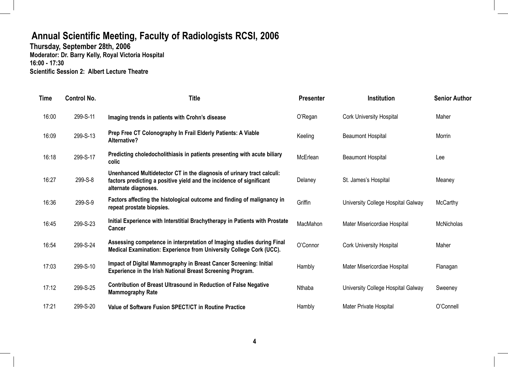**Thursday, September 28th, 2006 Moderator: Dr. Barry Kelly, Royal Victoria Hospital 16:00 - 17:30 Scientific Session 2: Albert Lecture Theatre**

| <b>Time</b> | <b>Control No.</b> | <b>Title</b>                                                                                                                                                           | <b>Presenter</b> | <b>Institution</b>                 | <b>Senior Author</b> |
|-------------|--------------------|------------------------------------------------------------------------------------------------------------------------------------------------------------------------|------------------|------------------------------------|----------------------|
| 16:00       | 299-S-11           | Imaging trends in patients with Crohn's disease                                                                                                                        | O'Regan          | <b>Cork University Hospital</b>    | Maher                |
| 16:09       | 299-S-13           | Prep Free CT Colonography In Frail Elderly Patients: A Viable<br>Alternative?                                                                                          | Keeling          | <b>Beaumont Hospital</b>           | Morrin               |
| 16:18       | 299-S-17           | Predicting choledocholithiasis in patients presenting with acute biliary<br>colic                                                                                      | McErlean         | <b>Beaumont Hospital</b>           | Lee                  |
| 16:27       | 299-S-8            | Unenhanced Multidetector CT in the diagnosis of urinary tract calculi:<br>factors predicting a positive yield and the incidence of significant<br>alternate diagnoses. | Delaney          | St. James's Hospital               | Meaney               |
| 16:36       | 299-S-9            | Factors affecting the histological outcome and finding of malignancy in<br>repeat prostate biopsies.                                                                   | Griffin          | University College Hospital Galway | <b>McCarthy</b>      |
| 16:45       | 299-S-23           | Initial Experience with Interstitial Brachytherapy in Patients with Prostate<br>Cancer                                                                                 | MacMahon         | Mater Misericordiae Hospital       | McNicholas           |
| 16:54       | 299-S-24           | Assessing competence in interpretation of Imaging studies during Final<br>Medical Examination: Experience from University College Cork (UCC).                          | O'Connor         | <b>Cork University Hospital</b>    | Maher                |
| 17:03       | 299-S-10           | Impact of Digital Mammography in Breast Cancer Screening: Initial<br><b>Experience in the Irish National Breast Screening Program.</b>                                 | Hambly           | Mater Misericordiae Hospital       | Flanagan             |
| 17:12       | 299-S-25           | <b>Contribution of Breast Ultrasound in Reduction of False Negative</b><br><b>Mammography Rate</b>                                                                     | Nthaba           | University College Hospital Galway | Sweeney              |
| 17:21       | 299-S-20           | Value of Software Fusion SPECT/CT in Routine Practice                                                                                                                  | Hambly           | Mater Private Hospital             | O'Connell            |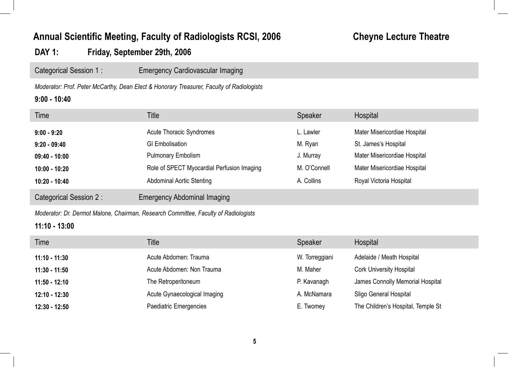## **Annual Scientific Meeting, Faculty of Radiologists RCSI, 2006 Cheyne Lecture Theatre**

### **DAY 1: Friday, September 29th, 2006**

Categorical Session 1 : Emergency Cardiovascular Imaging

*Moderator: Prof. Peter McCarthy, Dean Elect & Honorary Treasurer, Faculty of Radiologists*

#### **9:00 - 10:40**

| Time                   | Title                                      | Speaker      | Hospital                     |
|------------------------|--------------------------------------------|--------------|------------------------------|
| $9:00 - 9:20$          | <b>Acute Thoracic Syndromes</b>            | L. Lawler    | Mater Misericordiae Hospital |
| $9:20 - 09:40$         | <b>GI Embolisation</b>                     | M. Ryan      | St. James's Hospital         |
| $09:40 - 10:00$        | <b>Pulmonary Embolism</b>                  | J. Murray    | Mater Misericordiae Hospital |
| $10:00 - 10:20$        | Role of SPECT Myocardial Perfusion Imaging | M. O'Connell | Mater Misericordiae Hospital |
| $10:20 - 10:40$        | <b>Abdominal Aortic Stenting</b>           | A. Collins   | Royal Victoria Hospital      |
| Categorical Session 2: | <b>Emergency Abdominal Imaging</b>         |              |                              |
|                        |                                            |              |                              |

*Moderator: Dr. Dermot Malone, Chairman, Research Committee, Faculty of Radiologists*

#### **11:10 - 13:00**

| Time            | <b>Title</b>                 | Speaker        | Hospital                           |
|-----------------|------------------------------|----------------|------------------------------------|
| $11:10 - 11:30$ | Acute Abdomen: Trauma        | W. Torreggiani | Adelaide / Meath Hospital          |
| $11:30 - 11:50$ | Acute Abdomen: Non Trauma    | M. Maher       | <b>Cork University Hospital</b>    |
| $11:50 - 12:10$ | The Retroperitoneum          | P. Kavanagh    | James Connolly Memorial Hospital   |
| $12:10 - 12:30$ | Acute Gynaecological Imaging | A. McNamara    | Sligo General Hospital             |
| 12:30 - 12:50   | Paediatric Emergencies       | E. Twomey      | The Children's Hospital, Temple St |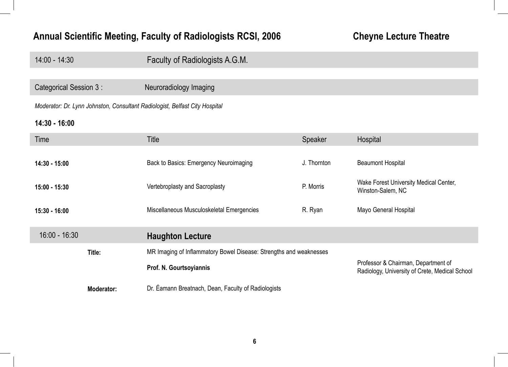## Annual Scientific Meeting, Faculty of Radiologists RCSI, 2006 **Cheyne Lecture Theatre**

| $14:00 - 14:30$                                                             | Faculty of Radiologists A.G.M.                                     |             |                                                                                       |
|-----------------------------------------------------------------------------|--------------------------------------------------------------------|-------------|---------------------------------------------------------------------------------------|
|                                                                             |                                                                    |             |                                                                                       |
| Categorical Session 3 :                                                     | Neuroradiology Imaging                                             |             |                                                                                       |
| Moderator: Dr. Lynn Johnston, Consultant Radiologist, Belfast City Hospital |                                                                    |             |                                                                                       |
| 14:30 - 16:00                                                               |                                                                    |             |                                                                                       |
| Time                                                                        | <b>Title</b>                                                       | Speaker     | Hospital                                                                              |
|                                                                             |                                                                    |             |                                                                                       |
| 14:30 - 15:00                                                               | Back to Basics: Emergency Neuroimaging                             | J. Thornton | <b>Beaumont Hospital</b>                                                              |
| 15:00 - 15:30                                                               | Vertebroplasty and Sacroplasty                                     | P. Morris   | Wake Forest University Medical Center,<br>Winston-Salem, NC                           |
| $15:30 - 16:00$                                                             | Miscellaneous Musculoskeletal Emergencies                          | R. Ryan     | Mayo General Hospital                                                                 |
| $16:00 - 16:30$                                                             | <b>Haughton Lecture</b>                                            |             |                                                                                       |
| Title:                                                                      | MR Imaging of Inflammatory Bowel Disease: Strengths and weaknesses |             |                                                                                       |
|                                                                             | Prof. N. Gourtsoyiannis                                            |             | Professor & Chairman, Department of<br>Radiology, University of Crete, Medical School |
| <b>Moderator:</b>                                                           | Dr. Eamann Breatnach, Dean, Faculty of Radiologists                |             |                                                                                       |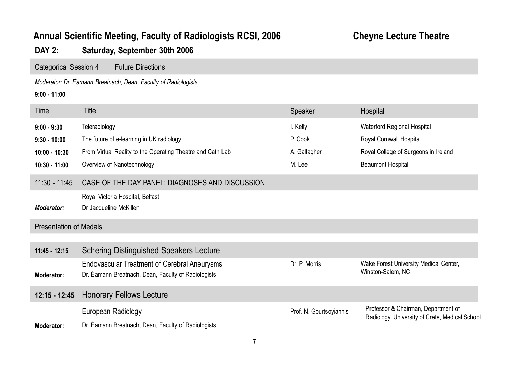## **Annual Scientific Meeting, Faculty of Radiologists RCSI, 2006 Cheyne Lecture Theatre**

## **DAY 2: Saturday, September 30th 2006**

Categorical Session 4 Future Directions

*Moderator: Dr. Éamann Breatnach, Dean, Faculty of Radiologists*

#### **9:00 - 11:00**

| Time                          | <b>Title</b>                                                                                               | Speaker                 | Hospital                                                                              |
|-------------------------------|------------------------------------------------------------------------------------------------------------|-------------------------|---------------------------------------------------------------------------------------|
| $9:00 - 9:30$                 | Teleradiology                                                                                              | I. Kelly                | Waterford Regional Hospital                                                           |
| $9:30 - 10:00$                | The future of e-learning in UK radiology                                                                   | P. Cook                 | Royal Cornwall Hospital                                                               |
| $10:00 - 10:30$               | From Virtual Reality to the Operating Theatre and Cath Lab                                                 | A. Gallagher            | Royal College of Surgeons in Ireland                                                  |
| $10:30 - 11:00$               | Overview of Nanotechnology                                                                                 | M. Lee                  | <b>Beaumont Hospital</b>                                                              |
| $11:30 - 11:45$               | CASE OF THE DAY PANEL: DIAGNOSES AND DISCUSSION                                                            |                         |                                                                                       |
|                               | Royal Victoria Hospital, Belfast                                                                           |                         |                                                                                       |
| <b>Moderator:</b>             | Dr Jacqueline McKillen                                                                                     |                         |                                                                                       |
| <b>Presentation of Medals</b> |                                                                                                            |                         |                                                                                       |
| $11:45 - 12:15$               | <b>Schering Distinguished Speakers Lecture</b>                                                             |                         |                                                                                       |
| Moderator:                    | <b>Endovascular Treatment of Cerebral Aneurysms</b><br>Dr. Éamann Breatnach, Dean, Faculty of Radiologists | Dr. P. Morris           | Wake Forest University Medical Center,<br>Winston-Salem, NC                           |
| $12:15 - 12:45$               | <b>Honorary Fellows Lecture</b>                                                                            |                         |                                                                                       |
|                               | European Radiology                                                                                         | Prof. N. Gourtsoyiannis | Professor & Chairman, Department of<br>Radiology, University of Crete, Medical School |
| Moderator:                    | Dr. Eamann Breatnach, Dean, Faculty of Radiologists                                                        |                         |                                                                                       |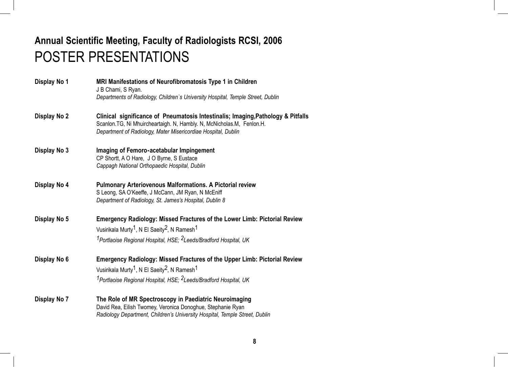## **Annual Scientific Meeting, Faculty of Radiologists RCSI, 2006** POSTER PRESENTATIONS

| Display No 1 | MRI Manifestations of Neurofibromatosis Type 1 in Children<br>J B Chami, S Ryan.<br>Departments of Radiology, Children's University Hospital, Temple Street, Dublin                                                           |
|--------------|-------------------------------------------------------------------------------------------------------------------------------------------------------------------------------------------------------------------------------|
| Display No 2 | Clinical significance of Pneumatosis Intestinalis; Imaging, Pathology & Pitfalls<br>Scanlon. TG, Ni Mhuircheartaigh. N, Hambly. N, McNicholas. M, Fenlon. H.<br>Department of Radiology, Mater Misericordiae Hospital, Dublin |
| Display No 3 | Imaging of Femoro-acetabular Impingement<br>CP Shortt, A O Hare, J O Byrne, S Eustace<br>Cappagh National Orthopaedic Hospital, Dublin                                                                                        |
| Display No 4 | <b>Pulmonary Arteriovenous Malformations. A Pictorial review</b><br>S Leong, SA O'Keeffe, J McCann, JM Ryan, N McEniff<br>Department of Radiology, St. James's Hospital, Dublin 8                                             |

**Display No 5 Emergency Radiology: Missed Fractures of the Lower Limb: Pictorial Review** Vusirikala Murty<sup>1</sup>, N El Saeity<sup>2</sup>, N Ramesh<sup>1</sup> *1Portlaoise Regional Hospital, HSE; 2Leeds/Bradford Hospital, UK*

- **Display No 6 Emergency Radiology: Missed Fractures of the Upper Limb: Pictorial Review** Vusirikala Murty<sup>1</sup>, N El Saeity<sup>2</sup>, N Ramesh<sup>1</sup> *1Portlaoise Regional Hospital, HSE; 2Leeds/Bradford Hospital, UK*
- **Display No 7 The Role of MR Spectroscopy in Paediatric Neuroimaging** David Rea, Eilish Twomey, Veronica Donoghue, Stephanie Ryan *Radiology Department, Children's University Hospital, Temple Street, Dublin*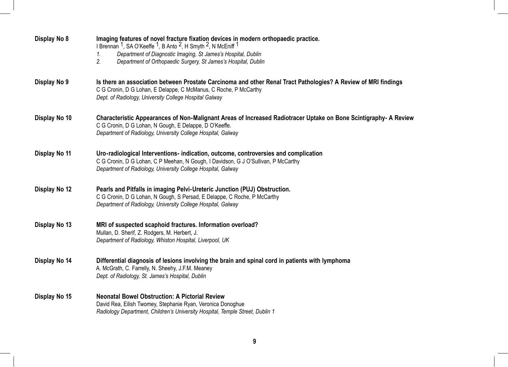| Display No 8  | Imaging features of novel fracture fixation devices in modern orthopaedic practice.<br>I Brennan <sup>1</sup> , SA O'Keeffe <sup>1</sup> , B Anto <sup>2</sup> , H Smyth <sup>2</sup> , N McEniff <sup>1</sup><br>Department of Diagnostic Imaging, St James's Hospital, Dublin<br>1.<br>2.<br>Department of Orthopaedic Surgery, St James's Hospital, Dublin |
|---------------|---------------------------------------------------------------------------------------------------------------------------------------------------------------------------------------------------------------------------------------------------------------------------------------------------------------------------------------------------------------|
| Display No 9  | Is there an association between Prostate Carcinoma and other Renal Tract Pathologies? A Review of MRI findings<br>C G Cronin, D G Lohan, E Delappe, C McManus, C Roche, P McCarthy<br>Dept. of Radiology, University College Hospital Galway                                                                                                                  |
| Display No 10 | Characteristic Appearances of Non-Malignant Areas of Increased Radiotracer Uptake on Bone Scintigraphy- A Review<br>C G Cronin, D G Lohan, N Gough, E Delappe, D O'Keeffe.<br>Department of Radiology, University College Hospital, Galway                                                                                                                    |
| Display No 11 | Uro-radiological Interventions- indication, outcome, controversies and complication<br>C G Cronin, D G Lohan, C P Meehan, N Gough, I Davidson, G J O'Sullivan, P McCarthy<br>Department of Radiology, University College Hospital, Galway                                                                                                                     |
| Display No 12 | Pearls and Pitfalls in imaging Pelvi-Ureteric Junction (PUJ) Obstruction.<br>C G Cronin, D G Lohan, N Gough, S Persad, E Delappe, C Roche, P McCarthy<br>Department of Radiology, University College Hospital, Galway                                                                                                                                         |
| Display No 13 | MRI of suspected scaphoid fractures. Information overload?<br>Mullan, D. Sherif, Z. Rodgers, M. Herbert, J.<br>Department of Radiology, Whiston Hospital, Liverpool, UK                                                                                                                                                                                       |
| Display No 14 | Differential diagnosis of lesions involving the brain and spinal cord in patients with lymphoma<br>A. McGrath, C. Farrelly, N. Sheehy, J.F.M. Meaney<br>Dept. of Radiology, St. James's Hospital, Dublin                                                                                                                                                      |
| Display No 15 | <b>Neonatal Bowel Obstruction: A Pictorial Review</b><br>David Rea, Eilish Twomey, Stephanie Ryan, Veronica Donoghue<br>Radiology Department, Children's University Hospital, Temple Street, Dublin 1                                                                                                                                                         |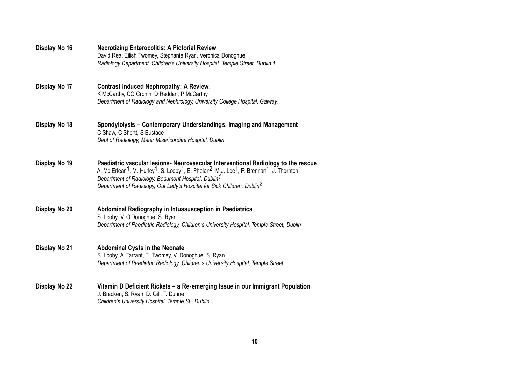| Display No 16 | <b>Necrotizing Enterocolitis: A Pictorial Review</b><br>David Rea, Eilish Twomey, Stephanie Ryan, Veronica Donoghue<br>Radiology Department, Children's University Hospital, Temple Street, Dublin 1                                                                                                                                                                                                                            |
|---------------|---------------------------------------------------------------------------------------------------------------------------------------------------------------------------------------------------------------------------------------------------------------------------------------------------------------------------------------------------------------------------------------------------------------------------------|
| Display No 17 | <b>Contrast Induced Nephropathy: A Review.</b><br>K McCarthy, CG Cronin, D Reddan, P McCarthy.<br>Department of Radiology and Nephrology, University College Hospital, Galway.                                                                                                                                                                                                                                                  |
| Display No 18 | Spondylolysis – Contemporary Understandings, Imaging and Management<br>C Shaw, C Shortt, S Eustace<br>Dept of Radiology, Mater Misericordiae Hospital, Dublin                                                                                                                                                                                                                                                                   |
| Display No 19 | Paediatric vascular lesions- Neurovascular Interventional Radiology to the rescue<br>A. Mc Erlean <sup>1</sup> , M. Hurley <sup>1</sup> , S. Looby <sup>1</sup> , E. Phelan <sup>2</sup> , M.J. Lee <sup>1</sup> , P. Brennan <sup>1</sup> , J. Thornton <sup>1</sup><br>Department of Radiology, Beaumont Hospital, Dublin <sup>1</sup><br>Department of Radiology, Our Lady's Hospital for Sick Children, Dublin <sup>2</sup> |
| Display No 20 | Abdominal Radiography in Intussusception in Paediatrics<br>S. Looby, V. O'Donoghue, S. Ryan<br>Department of Paediatric Radiology, Children's University Hospital, Temple Street, Dublin                                                                                                                                                                                                                                        |
| Display No 21 | <b>Abdominal Cysts in the Neonate</b><br>S. Looby, A. Tarrant, E. Twomey, V. Donoghue, S. Ryan<br>Department of Paediatric Radiology, Children's University Hospital, Temple Street.                                                                                                                                                                                                                                            |
| Display No 22 | Vitamin D Deficient Rickets – a Re-emerging Issue in our Immigrant Population<br>J. Bracken, S. Ryan, D. Gill, T. Dunne<br>Children's University Hospital, Temple St., Dublin                                                                                                                                                                                                                                                   |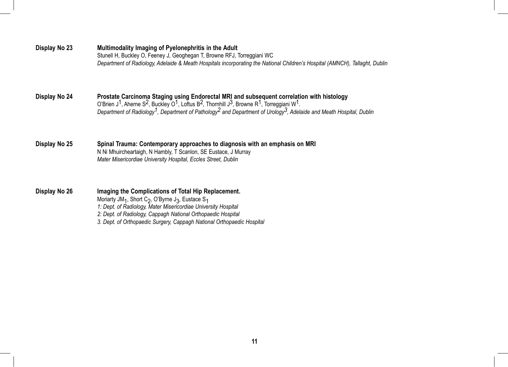| Display No 23 | Multimodality Imaging of Pyelonephritis in the Adult<br>Stunell H, Buckley O, Feeney J, Geoghegan T, Browne RFJ, Torreggiani WC<br>Department of Radiology, Adelaide & Meath Hospitals incorporating the National Children's Hospital (AMNCH), Tallaght, Dublin                                                                                                                                                                            |
|---------------|--------------------------------------------------------------------------------------------------------------------------------------------------------------------------------------------------------------------------------------------------------------------------------------------------------------------------------------------------------------------------------------------------------------------------------------------|
| Display No 24 | Prostate Carcinoma Staging using Endorectal MRI and subsequent correlation with histology<br>O'Brien J <sup>1</sup> , Aherne S <sup>2</sup> , Buckley O <sup>1</sup> , Loftus B <sup>2</sup> , Thornhill J <sup>3</sup> , Browne R <sup>1</sup> , Torreggiani W <sup>1</sup> .<br>Department of Radiology <sup>1</sup> , Department of Pathology <sup>2</sup> and Department of Urology <sup>3</sup> , Adelaide and Meath Hospital, Dublin |
| Display No 25 | Spinal Trauma: Contemporary approaches to diagnosis with an emphasis on MRI<br>N Ni Mhuircheartaigh, N Hambly, T Scanlon, SE Eustace, J Murray<br>Mater Misericordiae University Hospital, Eccles Street, Dublin                                                                                                                                                                                                                           |
| Display No 26 | Imaging the Complications of Total Hip Replacement.<br>Moriarty JM <sub>1</sub> , Short C <sub>2</sub> , O'Byrne J <sub>3</sub> , Eustace S <sub>1</sub><br>1: Dept. of Radiology, Mater Misericordiae University Hospital<br>2: Dept. of Radiology, Cappagh National Orthopaedic Hospital<br>3. Dept. of Orthopaedic Surgery, Cappagh National Orthopaedic Hospital                                                                       |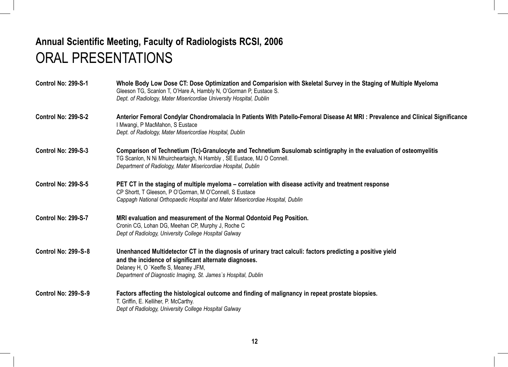## **Annual Scientific Meeting, Faculty of Radiologists RCSI, 2006** ORAL PRESENTATIONS

| <b>Control No: 299-S-1</b> | Whole Body Low Dose CT: Dose Optimization and Comparision with Skeletal Survey in the Staging of Multiple Myeloma<br>Gleeson TG, Scanlon T, O'Hare A, Hambly N, O'Gorman P, Eustace S.<br>Dept. of Radiology, Mater Misericordiae University Hospital, Dublin                |
|----------------------------|------------------------------------------------------------------------------------------------------------------------------------------------------------------------------------------------------------------------------------------------------------------------------|
| <b>Control No: 299-S-2</b> | Anterior Femoral Condylar Chondromalacia In Patients With Patello-Femoral Disease At MRI: Prevalence and Clinical Significance<br>I Mwangi, P MacMahon, S Eustace<br>Dept. of Radiology, Mater Misericordiae Hospital, Dublin                                                |
| <b>Control No: 299-S-3</b> | Comparison of Technetium (Tc)-Granulocyte and Technetium Susulomab scintigraphy in the evaluation of osteomyelitis<br>TG Scanlon, N Ni Mhuircheartaigh, N Hambly, SE Eustace, MJ O Connell.<br>Department of Radiology, Mater Misericordiae Hospital, Dublin                 |
| <b>Control No: 299-S-5</b> | PET CT in the staging of multiple myeloma – correlation with disease activity and treatment response<br>CP Shortt, T Gleeson, P O'Gorman, M O'Connell, S Eustace<br>Cappagh National Orthopaedic Hospital and Mater Misericordiae Hospital, Dublin                           |
| Control No: 299-S-7        | MRI evaluation and measurement of the Normal Odontoid Peg Position.<br>Cronin CG, Lohan DG, Meehan CP, Murphy J, Roche C<br>Dept of Radiology, University College Hospital Galway                                                                                            |
| <b>Control No: 299-S-8</b> | Unenhanced Multidetector CT in the diagnosis of urinary tract calculi: factors predicting a positive yield<br>and the incidence of significant alternate diagnoses.<br>Delaney H, O `Keeffe S, Meaney JFM,<br>Department of Diagnostic Imaging, St. James's Hospital, Dublin |
| <b>Control No: 299-S-9</b> | Factors affecting the histological outcome and finding of malignancy in repeat prostate biopsies.<br>T. Griffin, E. Kelliher, P. McCarthy.<br>Dept of Radiology, University College Hospital Galway                                                                          |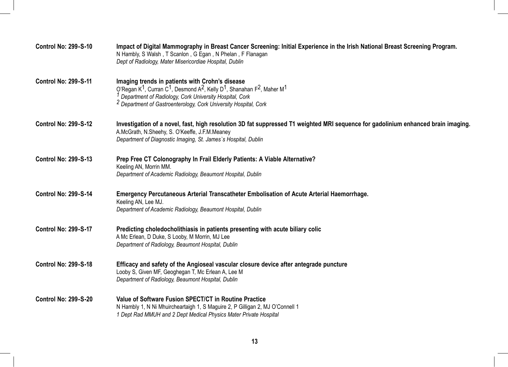| <b>Control No: 299-S-10</b> | Impact of Digital Mammography in Breast Cancer Screening: Initial Experience in the Irish National Breast Screening Program.<br>N Hambly, S Walsh, T Scanlon, G Egan, N Phelan, F Flanagan<br>Dept of Radiology, Mater Misericordiae Hospital, Dublin                                                                                        |
|-----------------------------|----------------------------------------------------------------------------------------------------------------------------------------------------------------------------------------------------------------------------------------------------------------------------------------------------------------------------------------------|
| <b>Control No: 299-S-11</b> | Imaging trends in patients with Crohn's disease<br>O'Regan K <sup>1</sup> , Curran C <sup>1</sup> , Desmond A <sup>2</sup> , Kelly D <sup>1</sup> , Shanahan F <sup>2</sup> , Maher M <sup>1</sup><br>Department of Radiology, Cork University Hospital, Cork<br><sup>2</sup> Department of Gastroenterology, Cork University Hospital, Cork |
| <b>Control No: 299-S-12</b> | Investigation of a novel, fast, high resolution 3D fat suppressed T1 weighted MRI sequence for gadolinium enhanced brain imaging.<br>A.McGrath, N.Sheehy, S. O'Keeffe, J.F.M.Meaney<br>Department of Diagnostic Imaging, St. James's Hospital, Dublin                                                                                        |
| <b>Control No: 299-S-13</b> | Prep Free CT Colonography In Frail Elderly Patients: A Viable Alternative?<br>Keeling AN, Morrin MM.<br>Department of Academic Radiology, Beaumont Hospital, Dublin                                                                                                                                                                          |
| <b>Control No: 299-S-14</b> | Emergency Percutaneous Arterial Transcatheter Embolisation of Acute Arterial Haemorrhage.<br>Keeling AN, Lee MJ.<br>Department of Academic Radiology, Beaumont Hospital, Dublin                                                                                                                                                              |
| <b>Control No: 299-S-17</b> | Predicting choledocholithiasis in patients presenting with acute biliary colic<br>A Mc Erlean, D Duke, S Looby, M Morrin, MJ Lee<br>Department of Radiology, Beaumont Hospital, Dublin                                                                                                                                                       |
| <b>Control No: 299-S-18</b> | Efficacy and safety of the Angioseal vascular closure device after antegrade puncture<br>Looby S, Given MF, Geoghegan T, Mc Erlean A, Lee M<br>Department of Radiology, Beaumont Hospital, Dublin                                                                                                                                            |
| <b>Control No: 299-S-20</b> | Value of Software Fusion SPECT/CT in Routine Practice<br>N Hambly 1, N Ni Mhuircheartaigh 1, S Maguire 2, P Gilligan 2, MJ O'Connell 1<br>1 Dept Rad MMUH and 2 Dept Medical Physics Mater Private Hospital                                                                                                                                  |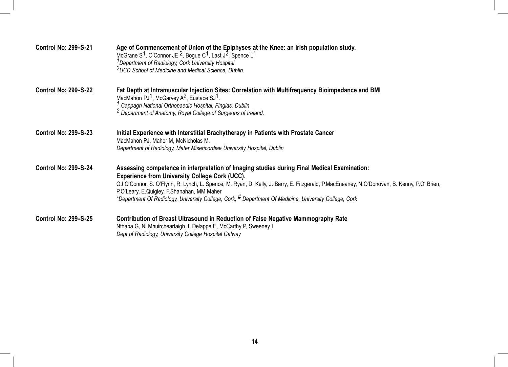| <b>Control No: 299-S-21</b> | Age of Commencement of Union of the Epiphyses at the Knee: an Irish population study.<br>McGrane S <sup>1</sup> , O'Connor JE <sup>2</sup> , Bogue C <sup>1</sup> , Last J <sup>2</sup> , Spence L <sup>1</sup><br><sup>1</sup> Department of Radiology, Cork University Hospital.<br><sup>2</sup> UCD School of Medicine and Medical Science, Dublin                                                                                                                 |
|-----------------------------|-----------------------------------------------------------------------------------------------------------------------------------------------------------------------------------------------------------------------------------------------------------------------------------------------------------------------------------------------------------------------------------------------------------------------------------------------------------------------|
| <b>Control No: 299-S-22</b> | Fat Depth at Intramuscular Injection Sites: Correlation with Multifrequency Bioimpedance and BMI<br>MacMahon $PJ1$ , McGarvey A <sup>2</sup> , Eustace SJ <sup>1</sup> .<br>Cappagh National Orthopaedic Hospital, Finglas, Dublin<br><sup>2</sup> Department of Anatomy, Royal College of Surgeons of Ireland.                                                                                                                                                       |
| <b>Control No: 299-S-23</b> | Initial Experience with Interstitial Brachytherapy in Patients with Prostate Cancer<br>MacMahon PJ, Maher M, McNicholas M.<br>Department of Radiology, Mater Misericordiae University Hospital, Dublin                                                                                                                                                                                                                                                                |
| <b>Control No: 299-S-24</b> | Assessing competence in interpretation of Imaging studies during Final Medical Examination:<br><b>Experience from University College Cork (UCC).</b><br>OJ O'Connor, S. O'Flynn, R. Lynch, L. Spence, M. Ryan, D. Kelly, J. Barry, E. Fitzgerald, P.MacEneaney, N.O'Donovan, B. Kenny, P.O' Brien,<br>P.O'Leary, E.Quigley, F.Shanahan, MM Maher<br>*Department Of Radiology, University College, Cork, <sup>#</sup> Department Of Medicine, University College, Cork |
| <b>Control No: 299-S-25</b> | Contribution of Breast Ultrasound in Reduction of False Negative Mammography Rate<br>Nthaba G, Ni Mhuircheartaigh J, Delappe E, McCarthy P, Sweeney I<br>Dept of Radiology, University College Hospital Galway                                                                                                                                                                                                                                                        |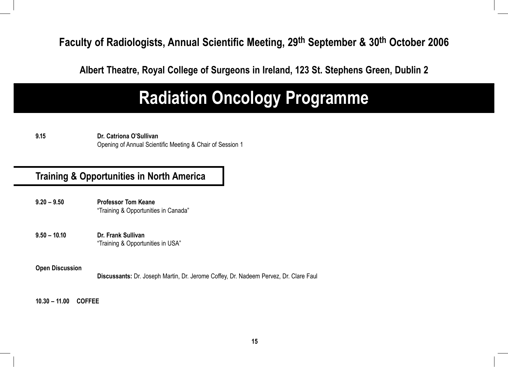**Faculty of Radiologists, Annual Scientific Meeting, 29th September & 30th October 2006**

**Albert Theatre, Royal College of Surgeons in Ireland, 123 St. Stephens Green, Dublin 2**

## **Radiation Oncology Programme**

**9.15 Dr. Catriona O'Sullivan**  Opening of Annual Scientific Meeting & Chair of Session 1

## **Training & Opportunities in North America**

- **9.20 9.50 Professor Tom Keane** "Training & Opportunities in Canada"
- **9.50 10.10 Dr. Frank Sullivan** "Training & Opportunities in USA"

#### **Open Discussion**

 **Discussants:** Dr. Joseph Martin, Dr. Jerome Coffey, Dr. Nadeem Pervez, Dr. Clare Faul

**10.30 – 11.00 COFFEE**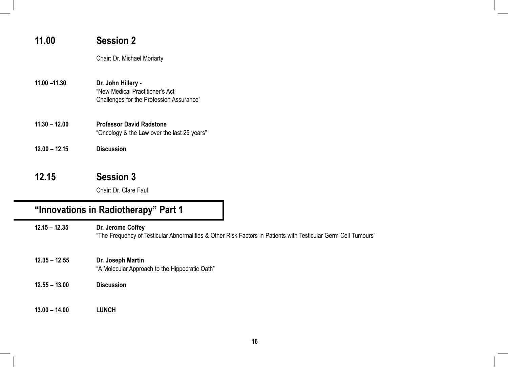| 11.00           | <b>Session 2</b>                                                                                  |
|-----------------|---------------------------------------------------------------------------------------------------|
|                 | Chair: Dr. Michael Moriarty                                                                       |
| $11.00 - 11.30$ | Dr. John Hillery -<br>"New Medical Practitioner's Act<br>Challenges for the Profession Assurance" |
| $11.30 - 12.00$ | <b>Professor David Radstone</b><br>"Oncology & the Law over the last 25 years"                    |
| $12.00 - 12.15$ | <b>Discussion</b>                                                                                 |
| 12.15           | <b>Session 3</b>                                                                                  |

Chair: Dr. Clare Faul

## **"Innovations in Radiotherapy" Part 1**

**12.15 – 12.35 Dr. Jerome Coffey**  "The Frequency of Testicular Abnormalities & Other Risk Factors in Patients with Testicular Germ Cell Tumours"

- **12.35 12.55 Dr. Joseph Martin**  "A Molecular Approach to the Hippocratic Oath"
- **12.55 13.00 Discussion**
- **13.00 14.00 LUNCH**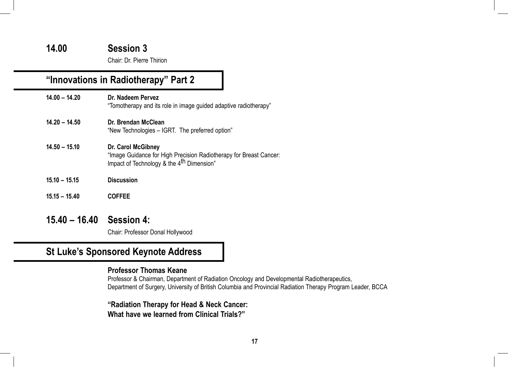#### **14.00 Session 3**

Chair: Dr. Pierre Thirion

## **"Innovations in Radiotherapy" Part 2**

| $14.00 - 14.20$ | Dr. Nadeem Pervez<br>"Tomotherapy and its role in image guided adaptive radiotherapy"                                                             |
|-----------------|---------------------------------------------------------------------------------------------------------------------------------------------------|
| $14.20 - 14.50$ | Dr. Brendan McClean<br>"New Technologies – IGRT. The preferred option"                                                                            |
| $14.50 - 15.10$ | Dr. Carol McGibney<br>"Image Guidance for High Precision Radiotherapy for Breast Cancer:<br>Impact of Technology & the 4 <sup>th</sup> Dimension" |
| $15.10 - 15.15$ | <b>Discussion</b>                                                                                                                                 |
| $15.15 - 15.40$ | <b>COFFEE</b>                                                                                                                                     |
|                 |                                                                                                                                                   |

**15.40 – 16.40 Session 4:**

Chair: Professor Donal Hollywood

## **St Luke's Sponsored Keynote Address**

#### **Professor Thomas Keane**

 Professor & Chairman, Department of Radiation Oncology and Developmental Radiotherapeutics, Department of Surgery, University of British Columbia and Provincial Radiation Therapy Program Leader, BCCA

 **"Radiation Therapy for Head & Neck Cancer: What have we learned from Clinical Trials?"**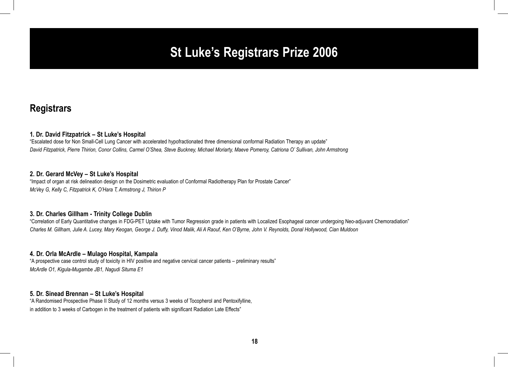## **St Luke's Registrars Prize 2006**

#### **Registrars**

#### **1. Dr. David Fitzpatrick – St Luke's Hospital**

"Escalated dose for Non Small-Cell Lung Cancer with accelerated hypofractionated three dimensional conformal Radiation Therapy an update" *David Fitzpatrick, Pierre Thirion, Conor Collins, Carmel O'Shea, Steve Buckney, Michael Moriarty, Maeve Pomeroy, Catriona O' Sullivan, John Armstrong*

#### **2. Dr. Gerard McVey – St Luke's Hospital**

"Impact of organ at risk delineation design on the Dosimetric evaluation of Conformal Radiotherapy Plan for Prostate Cancer" *McVey G, Kelly C, Fitzpatrick K, O'Hara T, Armstrong J, Thirion P*

#### **3. Dr. Charles Gillham - Trinity College Dublin**

"Correlation of Early Quantitative changes in FDG-PET Uptake with Tumor Regression grade in patients with Localized Esophageal cancer undergoing Neo-adjuvant Chemoradiation" *Charles M. Gillham, Julie A. Lucey, Mary Keogan, George J. Duffy, Vinod Malik, Ali A Raouf, Ken O'Byrne, John V. Reynolds, Donal Hollywood, Cian Muldoon*

#### **4. Dr. Orla McArdle – Mulago Hospital, Kampala**

"A prospective case control study of toxicity in HIV positive and negative cervical cancer patients – preliminary results" *McArdle O1, Kigula-Mugambe JB1, Nagudi Situma E1*

#### **5. Dr. Sinead Brennan – St Luke's Hospital**

"A Randomised Prospective Phase II Study of 12 months versus 3 weeks of Tocopherol and Pentoxifylline, in addition to 3 weeks of Carbogen in the treatment of patients with significant Radiation Late Effects"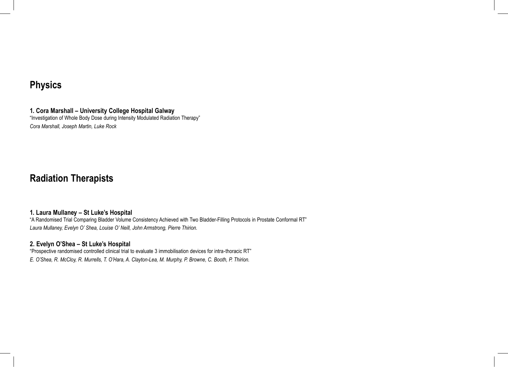### **Physics**

**1. Cora Marshall – University College Hospital Galway** "Investigation of Whole Body Dose during Intensity Modulated Radiation Therapy" *Cora Marshall, Joseph Martin, Luke Rock*

## **Radiation Therapists**

#### **1. Laura Mullaney – St Luke's Hospital**

"A Randomised Trial Comparing Bladder Volume Consistency Achieved with Two Bladder-Filling Protocols in Prostate Conformal RT" *Laura Mullaney, Evelyn O' Shea, Louise O' Neill, John Armstrong, Pierre Thirion.* 

#### **2. Evelyn O'Shea – St Luke's Hospital**

"Prospective randomised controlled clinical trial to evaluate 3 immobilisation devices for intra-thoracic RT" *E. O'Shea, R. McCloy, R. Murrells, T. O'Hara, A. Clayton-Lea, M. Murphy, P. Browne, C. Booth, P. Thirion.*